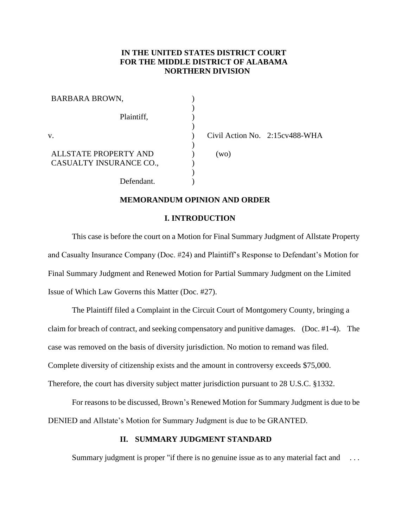# **IN THE UNITED STATES DISTRICT COURT FOR THE MIDDLE DISTRICT OF ALABAMA NORTHERN DIVISION**

| <b>BARBARA BROWN,</b>   |      |                                  |
|-------------------------|------|----------------------------------|
| Plaintiff,              |      |                                  |
|                         |      |                                  |
| V.                      |      | Civil Action No. 2:15 cv 488-WHA |
|                         |      |                                  |
| ALLSTATE PROPERTY AND   | (wo) |                                  |
| CASUALTY INSURANCE CO., |      |                                  |
|                         |      |                                  |
| Defendant.              |      |                                  |

## **MEMORANDUM OPINION AND ORDER**

#### **I. INTRODUCTION**

This case is before the court on a Motion for Final Summary Judgment of Allstate Property and Casualty Insurance Company (Doc. #24) and Plaintiff's Response to Defendant's Motion for Final Summary Judgment and Renewed Motion for Partial Summary Judgment on the Limited Issue of Which Law Governs this Matter (Doc. #27).

The Plaintiff filed a Complaint in the Circuit Court of Montgomery County, bringing a claim for breach of contract, and seeking compensatory and punitive damages. (Doc. #1-4). The case was removed on the basis of diversity jurisdiction. No motion to remand was filed. Complete diversity of citizenship exists and the amount in controversy exceeds \$75,000. Therefore, the court has diversity subject matter jurisdiction pursuant to 28 U.S.C. §1332.

For reasons to be discussed, Brown's Renewed Motion for Summary Judgment is due to be DENIED and Allstate's Motion for Summary Judgment is due to be GRANTED.

# **II. SUMMARY JUDGMENT STANDARD**

Summary judgment is proper "if there is no genuine issue as to any material fact and ...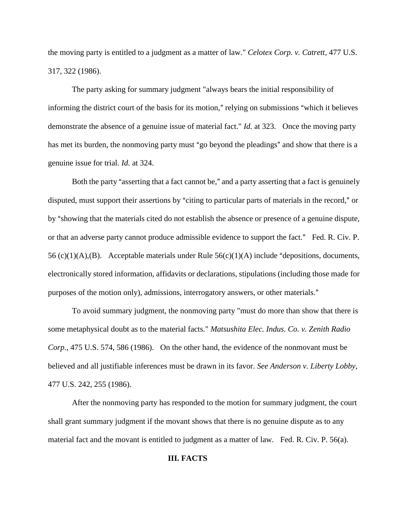the moving party is entitled to a judgment as a matter of law." *Celotex Corp. v. Catrett*, 477 U.S. 317, 322 (1986).

The party asking for summary judgment "always bears the initial responsibility of informing the district court of the basis for its motion," relying on submissions "which it believes demonstrate the absence of a genuine issue of material fact." *Id.* at 323. Once the moving party has met its burden, the nonmoving party must "go beyond the pleadings" and show that there is a genuine issue for trial. *Id.* at 324.

Both the party "asserting that a fact cannot be," and a party asserting that a fact is genuinely disputed, must support their assertions by "citing to particular parts of materials in the record," or by "showing that the materials cited do not establish the absence or presence of a genuine dispute, or that an adverse party cannot produce admissible evidence to support the fact." Fed. R. Civ. P. 56 (c)(1)(A),(B). Acceptable materials under Rule  $56(c)(1)(A)$  include "depositions, documents, electronically stored information, affidavits or declarations, stipulations (including those made for purposes of the motion only), admissions, interrogatory answers, or other materials."

To avoid summary judgment, the nonmoving party "must do more than show that there is some metaphysical doubt as to the material facts." *Matsushita Elec. Indus. Co. v. Zenith Radio Corp*., 475 U.S. 574, 586 (1986). On the other hand, the evidence of the nonmovant must be believed and all justifiable inferences must be drawn in its favor. *See Anderson v. Liberty Lobby*, 477 U.S. 242, 255 (1986).

After the nonmoving party has responded to the motion for summary judgment, the court shall grant summary judgment if the movant shows that there is no genuine dispute as to any material fact and the movant is entitled to judgment as a matter of law. Fed. R. Civ. P. 56(a).

# **III. FACTS**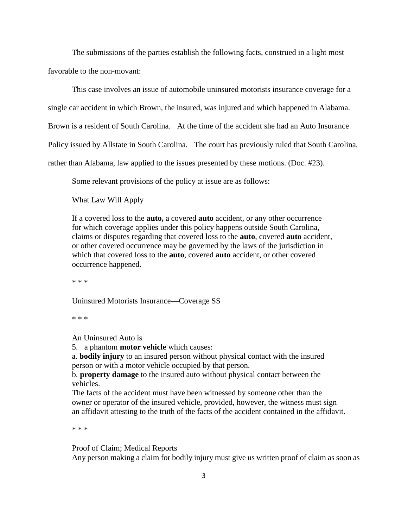The submissions of the parties establish the following facts, construed in a light most favorable to the non-movant:

This case involves an issue of automobile uninsured motorists insurance coverage for a

single car accident in which Brown, the insured, was injured and which happened in Alabama.

Brown is a resident of South Carolina. At the time of the accident she had an Auto Insurance

Policy issued by Allstate in South Carolina. The court has previously ruled that South Carolina,

rather than Alabama, law applied to the issues presented by these motions. (Doc. #23).

Some relevant provisions of the policy at issue are as follows:

What Law Will Apply

If a covered loss to the **auto,** a covered **auto** accident, or any other occurrence for which coverage applies under this policy happens outside South Carolina, claims or disputes regarding that covered loss to the **auto**, covered **auto** accident, or other covered occurrence may be governed by the laws of the jurisdiction in which that covered loss to the **auto**, covered **auto** accident, or other covered occurrence happened.

\* \* \*

Uninsured Motorists Insurance—Coverage SS

\* \* \*

An Uninsured Auto is

5. a phantom **motor vehicle** which causes:

a. **bodily injury** to an insured person without physical contact with the insured person or with a motor vehicle occupied by that person.

b. **property damage** to the insured auto without physical contact between the vehicles.

The facts of the accident must have been witnessed by someone other than the owner or operator of the insured vehicle, provided, however, the witness must sign an affidavit attesting to the truth of the facts of the accident contained in the affidavit.

\* \* \*

Proof of Claim; Medical Reports Any person making a claim for bodily injury must give us written proof of claim as soon as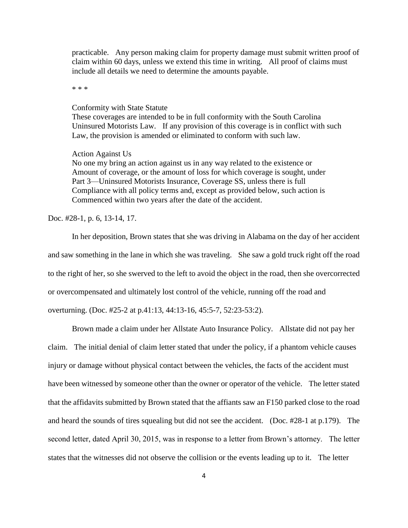practicable. Any person making claim for property damage must submit written proof of claim within 60 days, unless we extend this time in writing. All proof of claims must include all details we need to determine the amounts payable.

\* \* \*

#### Conformity with State Statute

These coverages are intended to be in full conformity with the South Carolina Uninsured Motorists Law. If any provision of this coverage is in conflict with such Law, the provision is amended or eliminated to conform with such law.

#### Action Against Us

No one my bring an action against us in any way related to the existence or Amount of coverage, or the amount of loss for which coverage is sought, under Part 3—Uninsured Motorists Insurance, Coverage SS, unless there is full Compliance with all policy terms and, except as provided below, such action is Commenced within two years after the date of the accident.

# Doc. #28-1, p. 6, 13-14, 17.

In her deposition, Brown states that she was driving in Alabama on the day of her accident and saw something in the lane in which she was traveling. She saw a gold truck right off the road to the right of her, so she swerved to the left to avoid the object in the road, then she overcorrected or overcompensated and ultimately lost control of the vehicle, running off the road and overturning. (Doc. #25-2 at p.41:13, 44:13-16, 45:5-7, 52:23-53:2).

Brown made a claim under her Allstate Auto Insurance Policy. Allstate did not pay her claim. The initial denial of claim letter stated that under the policy, if a phantom vehicle causes injury or damage without physical contact between the vehicles, the facts of the accident must have been witnessed by someone other than the owner or operator of the vehicle. The letter stated that the affidavits submitted by Brown stated that the affiants saw an F150 parked close to the road and heard the sounds of tires squealing but did not see the accident. (Doc. #28-1 at p.179). The second letter, dated April 30, 2015, was in response to a letter from Brown's attorney. The letter states that the witnesses did not observe the collision or the events leading up to it. The letter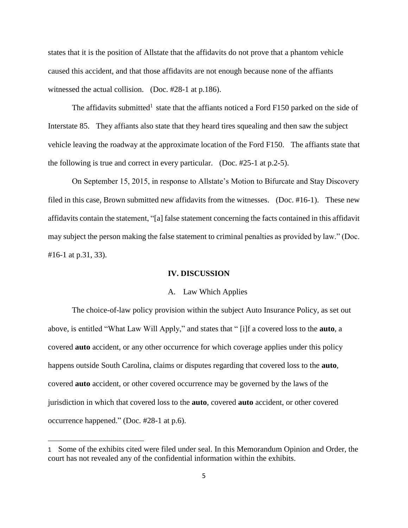states that it is the position of Allstate that the affidavits do not prove that a phantom vehicle caused this accident, and that those affidavits are not enough because none of the affiants witnessed the actual collision. (Doc. #28-1 at p.186).

The affidavits submitted<sup>1</sup> state that the affiants noticed a Ford F150 parked on the side of Interstate 85. They affiants also state that they heard tires squealing and then saw the subject vehicle leaving the roadway at the approximate location of the Ford F150. The affiants state that the following is true and correct in every particular. (Doc. #25-1 at p.2-5).

On September 15, 2015, in response to Allstate's Motion to Bifurcate and Stay Discovery filed in this case, Brown submitted new affidavits from the witnesses. (Doc. #16-1). These new affidavits contain the statement, "[a] false statement concerning the facts contained in this affidavit may subject the person making the false statement to criminal penalties as provided by law." (Doc. #16-1 at p.31, 33).

#### **IV. DISCUSSION**

## A. Law Which Applies

The choice-of-law policy provision within the subject Auto Insurance Policy, as set out above, is entitled "What Law Will Apply," and states that " [i]f a covered loss to the **auto**, a covered **auto** accident, or any other occurrence for which coverage applies under this policy happens outside South Carolina, claims or disputes regarding that covered loss to the **auto**, covered **auto** accident, or other covered occurrence may be governed by the laws of the jurisdiction in which that covered loss to the **auto**, covered **auto** accident, or other covered occurrence happened." (Doc. #28-1 at p.6).

<sup>1</sup> Some of the exhibits cited were filed under seal. In this Memorandum Opinion and Order, the court has not revealed any of the confidential information within the exhibits.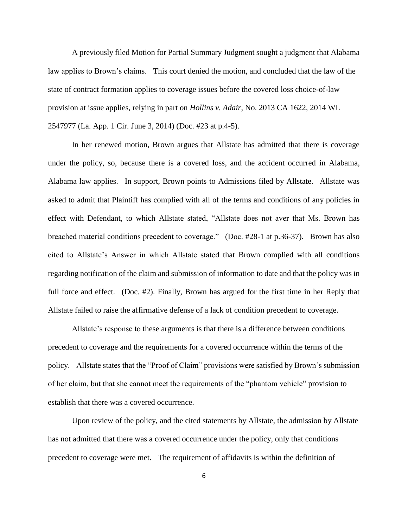A previously filed Motion for Partial Summary Judgment sought a judgment that Alabama law applies to Brown's claims. This court denied the motion, and concluded that the law of the state of contract formation applies to coverage issues before the covered loss choice-of-law provision at issue applies, relying in part on *Hollins v. Adair*, No. 2013 CA 1622, 2014 WL 2547977 (La. App. 1 Cir. June 3, 2014) (Doc. #23 at p.4-5).

In her renewed motion, Brown argues that Allstate has admitted that there is coverage under the policy, so, because there is a covered loss, and the accident occurred in Alabama, Alabama law applies. In support, Brown points to Admissions filed by Allstate. Allstate was asked to admit that Plaintiff has complied with all of the terms and conditions of any policies in effect with Defendant, to which Allstate stated, "Allstate does not aver that Ms. Brown has breached material conditions precedent to coverage." (Doc. #28-1 at p.36-37). Brown has also cited to Allstate's Answer in which Allstate stated that Brown complied with all conditions regarding notification of the claim and submission of information to date and that the policy was in full force and effect. (Doc. #2). Finally, Brown has argued for the first time in her Reply that Allstate failed to raise the affirmative defense of a lack of condition precedent to coverage.

Allstate's response to these arguments is that there is a difference between conditions precedent to coverage and the requirements for a covered occurrence within the terms of the policy. Allstate states that the "Proof of Claim" provisions were satisfied by Brown's submission of her claim, but that she cannot meet the requirements of the "phantom vehicle" provision to establish that there was a covered occurrence.

Upon review of the policy, and the cited statements by Allstate, the admission by Allstate has not admitted that there was a covered occurrence under the policy, only that conditions precedent to coverage were met. The requirement of affidavits is within the definition of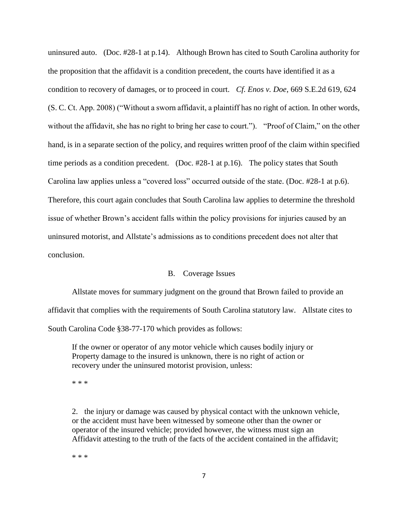uninsured auto. (Doc. #28-1 at p.14). Although Brown has cited to South Carolina authority for the proposition that the affidavit is a condition precedent, the courts have identified it as a condition to recovery of damages, or to proceed in court. *Cf. Enos v. Doe*, 669 S.E.2d 619, 624 (S. C. Ct. App. 2008) ("Without a sworn affidavit, a plaintiff has no right of action. In other words, without the affidavit, she has no right to bring her case to court."). "Proof of Claim," on the other hand, is in a separate section of the policy, and requires written proof of the claim within specified time periods as a condition precedent. (Doc. #28-1 at p.16). The policy states that South Carolina law applies unless a "covered loss" occurred outside of the state. (Doc. #28-1 at p.6). Therefore, this court again concludes that South Carolina law applies to determine the threshold issue of whether Brown's accident falls within the policy provisions for injuries caused by an uninsured motorist, and Allstate's admissions as to conditions precedent does not alter that conclusion.

# B. Coverage Issues

Allstate moves for summary judgment on the ground that Brown failed to provide an affidavit that complies with the requirements of South Carolina statutory law. Allstate cites to South Carolina Code §38-77-170 which provides as follows:

If the owner or operator of any motor vehicle which causes bodily injury or Property damage to the insured is unknown, there is no right of action or recovery under the uninsured motorist provision, unless:

\* \* \*

2. the injury or damage was caused by physical contact with the unknown vehicle, or the accident must have been witnessed by someone other than the owner or operator of the insured vehicle; provided however, the witness must sign an Affidavit attesting to the truth of the facts of the accident contained in the affidavit;

\* \* \*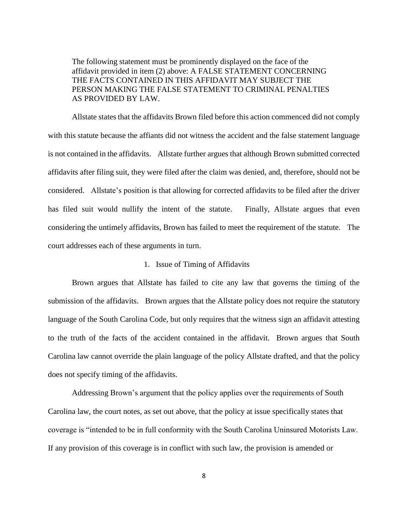The following statement must be prominently displayed on the face of the affidavit provided in item (2) above: A FALSE STATEMENT CONCERNING THE FACTS CONTAINED IN THIS AFFIDAVIT MAY SUBJECT THE PERSON MAKING THE FALSE STATEMENT TO CRIMINAL PENALTIES AS PROVIDED BY LAW.

Allstate states that the affidavits Brown filed before this action commenced did not comply with this statute because the affiants did not witness the accident and the false statement language is not contained in the affidavits. Allstate further argues that although Brown submitted corrected affidavits after filing suit, they were filed after the claim was denied, and, therefore, should not be considered. Allstate's position is that allowing for corrected affidavits to be filed after the driver has filed suit would nullify the intent of the statute. Finally, Allstate argues that even considering the untimely affidavits, Brown has failed to meet the requirement of the statute. The court addresses each of these arguments in turn.

#### 1. Issue of Timing of Affidavits

Brown argues that Allstate has failed to cite any law that governs the timing of the submission of the affidavits. Brown argues that the Allstate policy does not require the statutory language of the South Carolina Code, but only requires that the witness sign an affidavit attesting to the truth of the facts of the accident contained in the affidavit. Brown argues that South Carolina law cannot override the plain language of the policy Allstate drafted, and that the policy does not specify timing of the affidavits.

Addressing Brown's argument that the policy applies over the requirements of South Carolina law, the court notes, as set out above, that the policy at issue specifically states that coverage is "intended to be in full conformity with the South Carolina Uninsured Motorists Law. If any provision of this coverage is in conflict with such law, the provision is amended or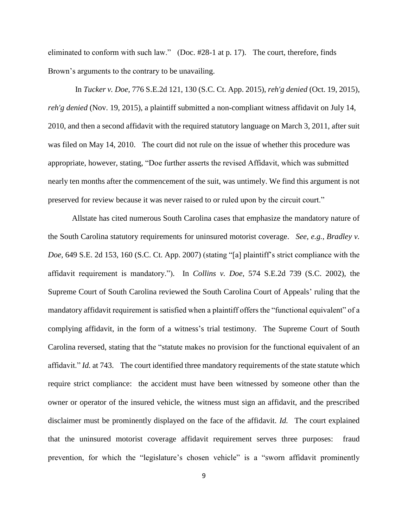eliminated to conform with such law." (Doc. #28-1 at p. 17). The court, therefore, finds Brown's arguments to the contrary to be unavailing.

In *Tucker v. Doe*, 776 S.E.2d 121, 130 (S.C. Ct. App. 2015), *reh'g denied* (Oct. 19, 2015), *reh'g denied* (Nov. 19, 2015), a plaintiff submitted a non-compliant witness affidavit on July 14, 2010, and then a second affidavit with the required statutory language on March 3, 2011, after suit was filed on May 14, 2010. The court did not rule on the issue of whether this procedure was appropriate, however, stating, "Doe further asserts the revised Affidavit, which was submitted nearly ten months after the commencement of the suit, was untimely. We find this argument is not preserved for review because it was never raised to or ruled upon by the circuit court."

Allstate has cited numerous South Carolina cases that emphasize the mandatory nature of the South Carolina statutory requirements for uninsured motorist coverage. *See, e.g., Bradley v. Doe,* 649 S.E. 2d 153, 160 (S.C. Ct. App. 2007) (stating "[a] plaintiff's strict compliance with the affidavit requirement is mandatory."). In *Collins v. Doe*, 574 S.E.2d 739 (S.C. 2002), the Supreme Court of South Carolina reviewed the South Carolina Court of Appeals' ruling that the mandatory affidavit requirement is satisfied when a plaintiff offers the "functional equivalent" of a complying affidavit, in the form of a witness's trial testimony. The Supreme Court of South Carolina reversed, stating that the "statute makes no provision for the functional equivalent of an affidavit." *Id.* at 743. The court identified three mandatory requirements of the state statute which require strict compliance: the accident must have been witnessed by someone other than the owner or operator of the insured vehicle, the witness must sign an affidavit, and the prescribed disclaimer must be prominently displayed on the face of the affidavit. *Id.* The court explained that the uninsured motorist coverage affidavit requirement serves three purposes: fraud prevention, for which the "legislature's chosen vehicle" is a "sworn affidavit prominently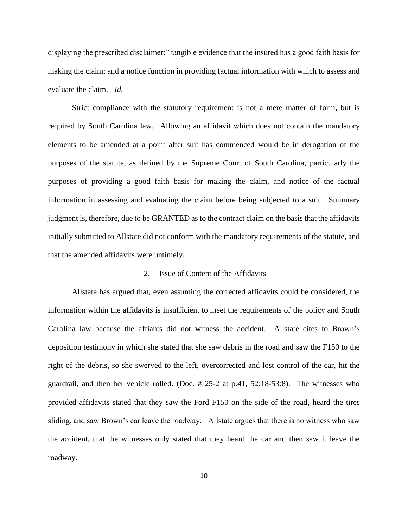displaying the prescribed disclaimer;" tangible evidence that the insured has a good faith basis for making the claim; and a notice function in providing factual information with which to assess and evaluate the claim. *Id.*

Strict compliance with the statutory requirement is not a mere matter of form, but is required by South Carolina law. Allowing an affidavit which does not contain the mandatory elements to be amended at a point after suit has commenced would be in derogation of the purposes of the statute, as defined by the Supreme Court of South Carolina, particularly the purposes of providing a good faith basis for making the claim, and notice of the factual information in assessing and evaluating the claim before being subjected to a suit. Summary judgment is, therefore, due to be GRANTED as to the contract claim on the basis that the affidavits initially submitted to Allstate did not conform with the mandatory requirements of the statute, and that the amended affidavits were untimely.

### 2. Issue of Content of the Affidavits

Allstate has argued that, even assuming the corrected affidavits could be considered, the information within the affidavits is insufficient to meet the requirements of the policy and South Carolina law because the affiants did not witness the accident. Allstate cites to Brown's deposition testimony in which she stated that she saw debris in the road and saw the F150 to the right of the debris, so she swerved to the left, overcorrected and lost control of the car, hit the guardrail, and then her vehicle rolled. (Doc. # 25-2 at p.41, 52:18-53:8). The witnesses who provided affidavits stated that they saw the Ford F150 on the side of the road, heard the tires sliding, and saw Brown's car leave the roadway. Allstate argues that there is no witness who saw the accident, that the witnesses only stated that they heard the car and then saw it leave the roadway.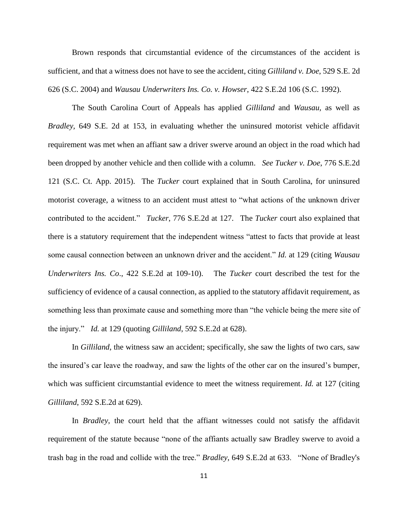Brown responds that circumstantial evidence of the circumstances of the accident is sufficient, and that a witness does not have to see the accident, citing *Gilliland v. Doe*, 529 S.E. 2d 626 (S.C. 2004) and *Wausau Underwriters Ins. Co. v. Howser*, 422 S.E.2d 106 (S.C. 1992).

The South Carolina Court of Appeals has applied *Gilliland* and *Wausau,* as well as *Bradley,* 649 S.E. 2d at 153, in evaluating whether the uninsured motorist vehicle affidavit requirement was met when an affiant saw a driver swerve around an object in the road which had been dropped by another vehicle and then collide with a column. *See Tucker v. Doe*, 776 S.E.2d 121 (S.C. Ct. App. 2015). The *Tucker* court explained that in South Carolina, for uninsured motorist coverage, a witness to an accident must attest to "what actions of the unknown driver contributed to the accident." *Tucker*, 776 S.E.2d at 127. The *Tucker* court also explained that there is a statutory requirement that the independent witness "attest to facts that provide at least some causal connection between an unknown driver and the accident." *Id.* at 129 (citing *Wausau Underwriters Ins. Co*., 422 S.E.2d at 109-10). The *Tucker* court described the test for the sufficiency of evidence of a causal connection, as applied to the statutory affidavit requirement, as something less than proximate cause and something more than "the vehicle being the mere site of the injury." *Id.* at 129 (quoting *Gilliland*, 592 S.E.2d at 628).

In *Gilliland*, the witness saw an accident; specifically, she saw the lights of two cars, saw the insured's car leave the roadway, and saw the lights of the other car on the insured's bumper, which was sufficient circumstantial evidence to meet the witness requirement. *Id.* at 127 (citing *Gilliland*, 592 S.E.2d at 629).

In *Bradley*, the court held that the affiant witnesses could not satisfy the affidavit requirement of the statute because "none of the affiants actually saw Bradley swerve to avoid a trash bag in the road and collide with the tree." *Bradley*, 649 S.E.2d at 633. "None of Bradley's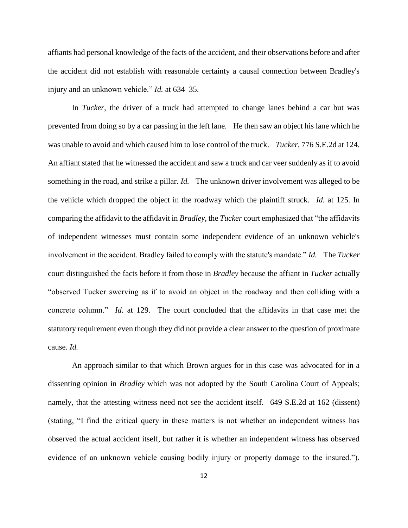affiants had personal knowledge of the facts of the accident, and their observations before and after the accident did not establish with reasonable certainty a causal connection between Bradley's injury and an unknown vehicle." *Id.* at 634–35.

In *Tucker*, the driver of a truck had attempted to change lanes behind a car but was prevented from doing so by a car passing in the left lane. He then saw an object his lane which he was unable to avoid and which caused him to lose control of the truck. *Tucker*, 776 S.E.2d at 124. An affiant stated that he witnessed the accident and saw a truck and car veer suddenly as if to avoid something in the road, and strike a pillar. *Id.* The unknown driver involvement was alleged to be the vehicle which dropped the object in the roadway which the plaintiff struck. *Id.* at 125. In comparing the affidavit to the affidavit in *Bradley*, the *Tucker* court emphasized that "the affidavits of independent witnesses must contain some independent evidence of an unknown vehicle's involvement in the accident. Bradley failed to comply with the statute's mandate." *Id.* The *Tucker* court distinguished the facts before it from those in *Bradley* because the affiant in *Tucker* actually "observed Tucker swerving as if to avoid an object in the roadway and then colliding with a concrete column." *Id.* at 129. The court concluded that the affidavits in that case met the statutory requirement even though they did not provide a clear answer to the question of proximate cause. *Id.*

An approach similar to that which Brown argues for in this case was advocated for in a dissenting opinion in *Bradley* which was not adopted by the South Carolina Court of Appeals; namely, that the attesting witness need not see the accident itself. 649 S.E.2d at 162 (dissent) (stating, "I find the critical query in these matters is not whether an independent witness has observed the actual accident itself, but rather it is whether an independent witness has observed evidence of an unknown vehicle causing bodily injury or property damage to the insured.").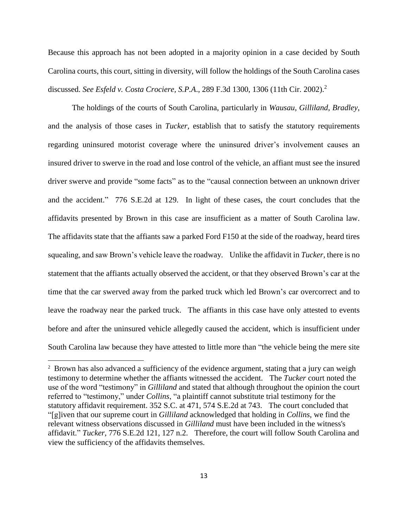Because this approach has not been adopted in a majority opinion in a case decided by South Carolina courts, this court, sitting in diversity, will follow the holdings of the South Carolina cases discussed. *See Esfeld v. Costa Crociere, S.P.A*., 289 F.3d 1300, 1306 (11th Cir. 2002).<sup>2</sup>

The holdings of the courts of South Carolina, particularly in *Wausau*, *Gilliland*, *Bradley*, and the analysis of those cases in *Tucker*, establish that to satisfy the statutory requirements regarding uninsured motorist coverage where the uninsured driver's involvement causes an insured driver to swerve in the road and lose control of the vehicle, an affiant must see the insured driver swerve and provide "some facts" as to the "causal connection between an unknown driver and the accident." 776 S.E.2d at 129. In light of these cases, the court concludes that the affidavits presented by Brown in this case are insufficient as a matter of South Carolina law. The affidavits state that the affiants saw a parked Ford F150 at the side of the roadway, heard tires squealing, and saw Brown's vehicle leave the roadway. Unlike the affidavit in *Tucker*, there is no statement that the affiants actually observed the accident, or that they observed Brown's car at the time that the car swerved away from the parked truck which led Brown's car overcorrect and to leave the roadway near the parked truck. The affiants in this case have only attested to events before and after the uninsured vehicle allegedly caused the accident, which is insufficient under South Carolina law because they have attested to little more than "the vehicle being the mere site

<sup>&</sup>lt;sup>2</sup> Brown has also advanced a sufficiency of the evidence argument, stating that a jury can weigh testimony to determine whether the affiants witnessed the accident. The *Tucker* court noted the use of the word "testimony" in *Gilliland* and stated that although throughout the opinion the court referred to "testimony," under *Collins*, "a plaintiff cannot substitute trial testimony for the statutory affidavit requirement. 352 S.C. at 471, 574 S.E.2d at 743. The court concluded that "[g]iven that our supreme court in *Gilliland* acknowledged that holding in *Collins,* we find the relevant witness observations discussed in *Gilliland* must have been included in the witness's affidavit." *Tucker,* 776 S.E.2d 121, 127 n.2. Therefore, the court will follow South Carolina and view the sufficiency of the affidavits themselves.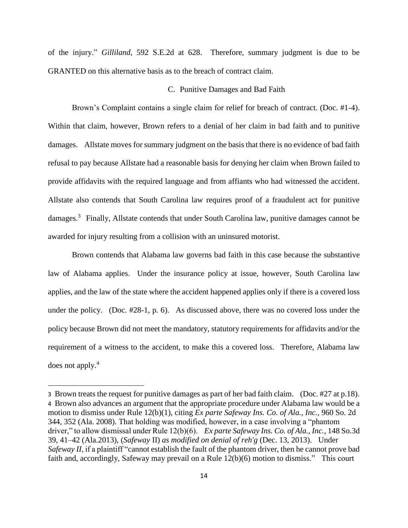of the injury." *Gilliland*, 592 S.E.2d at 628. Therefore, summary judgment is due to be GRANTED on this alternative basis as to the breach of contract claim.

### C. Punitive Damages and Bad Faith

Brown's Complaint contains a single claim for relief for breach of contract. (Doc. #1-4). Within that claim, however, Brown refers to a denial of her claim in bad faith and to punitive damages. Allstate moves for summary judgment on the basis that there is no evidence of bad faith refusal to pay because Allstate had a reasonable basis for denying her claim when Brown failed to provide affidavits with the required language and from affiants who had witnessed the accident. Allstate also contends that South Carolina law requires proof of a fraudulent act for punitive damages.<sup>3</sup> Finally, Allstate contends that under South Carolina law, punitive damages cannot be awarded for injury resulting from a collision with an uninsured motorist.

Brown contends that Alabama law governs bad faith in this case because the substantive law of Alabama applies. Under the insurance policy at issue, however, South Carolina law applies, and the law of the state where the accident happened applies only if there is a covered loss under the policy. (Doc. #28-1, p. 6). As discussed above, there was no covered loss under the policy because Brown did not meet the mandatory, statutory requirements for affidavits and/or the requirement of a witness to the accident, to make this a covered loss. Therefore, Alabama law does not apply.<sup>4</sup>

<sup>3</sup> Brown treats the request for punitive damages as part of her bad faith claim. (Doc. #27 at p.18). 4 Brown also advances an argument that the appropriate procedure under Alabama law would be a motion to dismiss under Rule 12(b)(1), citing *Ex parte Safeway Ins. Co. of Ala., Inc.*, 960 So. 2d 344, 352 (Ala. 2008). That holding was modified, however, in a case involving a "phantom driver," to allow dismissal under Rule 12(b)(6). *Ex parte Safeway Ins. Co. of Ala., Inc.*, 148 So.3d 39, 41–42 (Ala.2013), (*Safeway* II) *as modified on denial of reh'g* (Dec. 13, 2013). Under *Safeway II*, if a plaintiff "cannot establish the fault of the phantom driver, then he cannot prove bad faith and, accordingly, Safeway may prevail on a Rule 12(b)(6) motion to dismiss." This court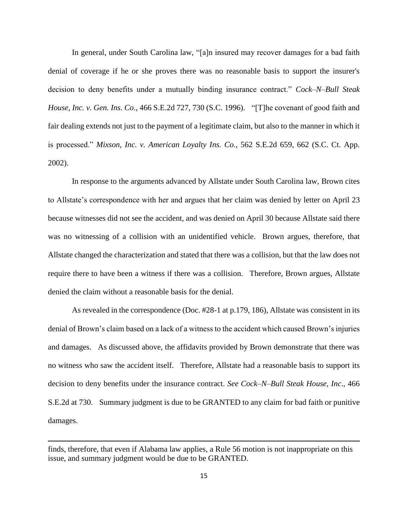In general, under South Carolina law, "[a]n insured may recover damages for a bad faith denial of coverage if he or she proves there was no reasonable basis to support the insurer's decision to deny benefits under a mutually binding insurance contract." *Cock–N–Bull Steak House, Inc. v. Gen. Ins. Co*., 466 S.E.2d 727, 730 (S.C. 1996). "[T]he covenant of good faith and fair dealing extends not just to the payment of a legitimate claim, but also to the manner in which it is processed." *Mixson, Inc. v. American Loyalty Ins. Co*., 562 S.E.2d 659, 662 (S.C. Ct. App. 2002).

In response to the arguments advanced by Allstate under South Carolina law, Brown cites to Allstate's correspondence with her and argues that her claim was denied by letter on April 23 because witnesses did not see the accident, and was denied on April 30 because Allstate said there was no witnessing of a collision with an unidentified vehicle. Brown argues, therefore, that Allstate changed the characterization and stated that there was a collision, but that the law does not require there to have been a witness if there was a collision. Therefore, Brown argues, Allstate denied the claim without a reasonable basis for the denial.

As revealed in the correspondence (Doc. #28-1 at p.179, 186), Allstate was consistent in its denial of Brown's claim based on a lack of a witness to the accident which caused Brown's injuries and damages. As discussed above, the affidavits provided by Brown demonstrate that there was no witness who saw the accident itself. Therefore, Allstate had a reasonable basis to support its decision to deny benefits under the insurance contract. *See Cock–N–Bull Steak House, Inc*., 466 S.E.2d at 730. Summary judgment is due to be GRANTED to any claim for bad faith or punitive damages.

finds, therefore, that even if Alabama law applies, a Rule 56 motion is not inappropriate on this issue, and summary judgment would be due to be GRANTED.